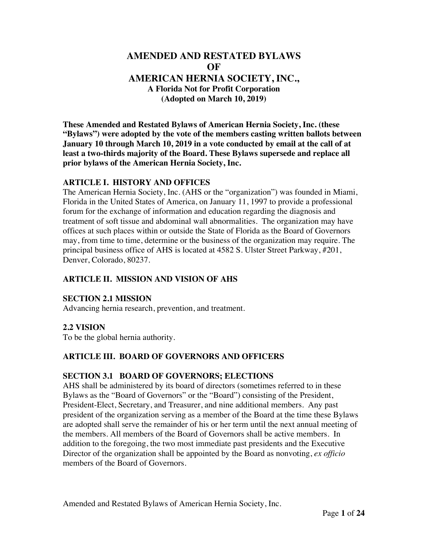# **AMENDED AND RESTATED BYLAWS OF AMERICAN HERNIA SOCIETY, INC., A Florida Not for Profit Corporation (Adopted on March 10, 2019)**

**These Amended and Restated Bylaws of American Hernia Society, Inc. (these "Bylaws") were adopted by the vote of the members casting written ballots between January 10 through March 10, 2019 in a vote conducted by email at the call of at least a two-thirds majority of the Board. These Bylaws supersede and replace all prior bylaws of the American Hernia Society, Inc.** 

#### **ARTICLE I. HISTORY AND OFFICES**

The American Hernia Society, Inc. (AHS or the "organization") was founded in Miami, Florida in the United States of America, on January 11, 1997 to provide a professional forum for the exchange of information and education regarding the diagnosis and treatment of soft tissue and abdominal wall abnormalities. The organization may have offices at such places within or outside the State of Florida as the Board of Governors may, from time to time, determine or the business of the organization may require. The principal business office of AHS is located at 4582 S. Ulster Street Parkway, #201, Denver, Colorado, 80237.

#### **ARTICLE II. MISSION AND VISION OF AHS**

#### **SECTION 2.1 MISSION**

Advancing hernia research, prevention, and treatment.

#### **2.2 VISION**

To be the global hernia authority.

#### **ARTICLE III. BOARD OF GOVERNORS AND OFFICERS**

#### **SECTION 3.1 BOARD OF GOVERNORS; ELECTIONS**

AHS shall be administered by its board of directors (sometimes referred to in these Bylaws as the "Board of Governors" or the "Board") consisting of the President, President-Elect, Secretary, and Treasurer, and nine additional members. Any past president of the organization serving as a member of the Board at the time these Bylaws are adopted shall serve the remainder of his or her term until the next annual meeting of the members. All members of the Board of Governors shall be active members. In addition to the foregoing, the two most immediate past presidents and the Executive Director of the organization shall be appointed by the Board as nonvoting, *ex officio* members of the Board of Governors.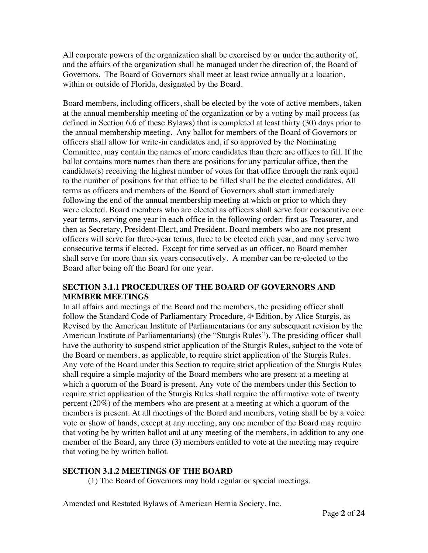All corporate powers of the organization shall be exercised by or under the authority of, and the affairs of the organization shall be managed under the direction of, the Board of Governors. The Board of Governors shall meet at least twice annually at a location, within or outside of Florida, designated by the Board.

Board members, including officers, shall be elected by the vote of active members, taken at the annual membership meeting of the organization or by a voting by mail process (as defined in Section 6.6 of these Bylaws) that is completed at least thirty (30) days prior to the annual membership meeting. Any ballot for members of the Board of Governors or officers shall allow for write-in candidates and, if so approved by the Nominating Committee, may contain the names of more candidates than there are offices to fill. If the ballot contains more names than there are positions for any particular office, then the candidate(s) receiving the highest number of votes for that office through the rank equal to the number of positions for that office to be filled shall be the elected candidates. All terms as officers and members of the Board of Governors shall start immediately following the end of the annual membership meeting at which or prior to which they were elected. Board members who are elected as officers shall serve four consecutive one year terms, serving one year in each office in the following order: first as Treasurer, and then as Secretary, President-Elect, and President. Board members who are not present officers will serve for three-year terms, three to be elected each year, and may serve two consecutive terms if elected. Except for time served as an officer, no Board member shall serve for more than six years consecutively. A member can be re-elected to the Board after being off the Board for one year.

#### **SECTION 3.1.1 PROCEDURES OF THE BOARD OF GOVERNORS AND MEMBER MEETINGS**

In all affairs and meetings of the Board and the members, the presiding officer shall follow the Standard Code of Parliamentary Procedure, 4<sup>th</sup> Edition, by Alice Sturgis, as Revised by the American Institute of Parliamentarians (or any subsequent revision by the American Institute of Parliamentarians) (the "Sturgis Rules"). The presiding officer shall have the authority to suspend strict application of the Sturgis Rules, subject to the vote of the Board or members, as applicable, to require strict application of the Sturgis Rules. Any vote of the Board under this Section to require strict application of the Sturgis Rules shall require a simple majority of the Board members who are present at a meeting at which a quorum of the Board is present. Any vote of the members under this Section to require strict application of the Sturgis Rules shall require the affirmative vote of twenty percent (20%) of the members who are present at a meeting at which a quorum of the members is present. At all meetings of the Board and members, voting shall be by a voice vote or show of hands, except at any meeting, any one member of the Board may require that voting be by written ballot and at any meeting of the members, in addition to any one member of the Board, any three (3) members entitled to vote at the meeting may require that voting be by written ballot.

# **SECTION 3.1.2 MEETINGS OF THE BOARD**

(1) The Board of Governors may hold regular or special meetings.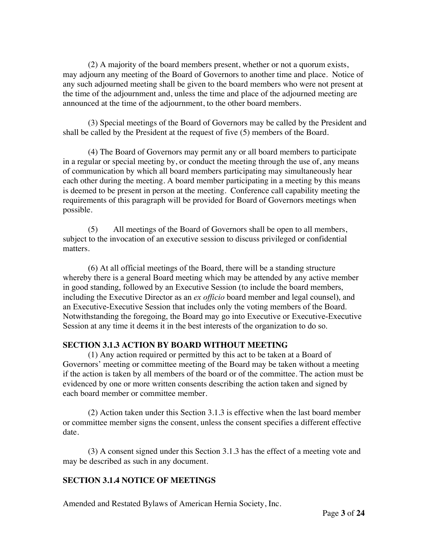(2) A majority of the board members present, whether or not a quorum exists, may adjourn any meeting of the Board of Governors to another time and place. Notice of any such adjourned meeting shall be given to the board members who were not present at the time of the adjournment and, unless the time and place of the adjourned meeting are announced at the time of the adjournment, to the other board members.

 (3) Special meetings of the Board of Governors may be called by the President and shall be called by the President at the request of five (5) members of the Board.

 (4) The Board of Governors may permit any or all board members to participate in a regular or special meeting by, or conduct the meeting through the use of, any means of communication by which all board members participating may simultaneously hear each other during the meeting. A board member participating in a meeting by this means is deemed to be present in person at the meeting. Conference call capability meeting the requirements of this paragraph will be provided for Board of Governors meetings when possible.

(5) All meetings of the Board of Governors shall be open to all members, subject to the invocation of an executive session to discuss privileged or confidential matters.

(6) At all official meetings of the Board, there will be a standing structure whereby there is a general Board meeting which may be attended by any active member in good standing, followed by an Executive Session (to include the board members, including the Executive Director as an *ex officio* board member and legal counsel), and an Executive-Executive Session that includes only the voting members of the Board. Notwithstanding the foregoing, the Board may go into Executive or Executive-Executive Session at any time it deems it in the best interests of the organization to do so.

#### **SECTION 3.1.3 ACTION BY BOARD WITHOUT MEETING**

(1) Any action required or permitted by this act to be taken at a Board of Governors' meeting or committee meeting of the Board may be taken without a meeting if the action is taken by all members of the board or of the committee. The action must be evidenced by one or more written consents describing the action taken and signed by each board member or committee member.

 (2) Action taken under this Section 3.1.3 is effective when the last board member or committee member signs the consent, unless the consent specifies a different effective date.

 (3) A consent signed under this Section 3.1.3 has the effect of a meeting vote and may be described as such in any document.

#### **SECTION 3.1.4 NOTICE OF MEETINGS**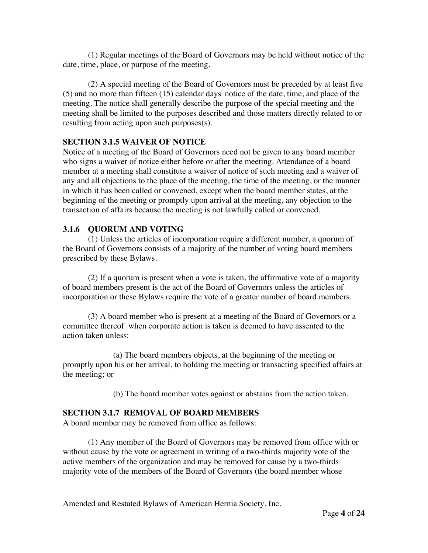(1) Regular meetings of the Board of Governors may be held without notice of the date, time, place, or purpose of the meeting.

 (2) A special meeting of the Board of Governors must be preceded by at least five (5) and no more than fifteen (15) calendar days' notice of the date, time, and place of the meeting. The notice shall generally describe the purpose of the special meeting and the meeting shall be limited to the purposes described and those matters directly related to or resulting from acting upon such purposes(s).

#### **SECTION 3.1.5 WAIVER OF NOTICE**

Notice of a meeting of the Board of Governors need not be given to any board member who signs a waiver of notice either before or after the meeting. Attendance of a board member at a meeting shall constitute a waiver of notice of such meeting and a waiver of any and all objections to the place of the meeting, the time of the meeting, or the manner in which it has been called or convened, except when the board member states, at the beginning of the meeting or promptly upon arrival at the meeting, any objection to the transaction of affairs because the meeting is not lawfully called or convened.

#### **3.1.6 QUORUM AND VOTING**

(1) Unless the articles of incorporation require a different number, a quorum of the Board of Governors consists of a majority of the number of voting board members prescribed by these Bylaws.

 (2) If a quorum is present when a vote is taken, the affirmative vote of a majority of board members present is the act of the Board of Governors unless the articles of incorporation or these Bylaws require the vote of a greater number of board members.

 (3) A board member who is present at a meeting of the Board of Governors or a committee thereof when corporate action is taken is deemed to have assented to the action taken unless:

 (a) The board members objects, at the beginning of the meeting or promptly upon his or her arrival, to holding the meeting or transacting specified affairs at the meeting; or

(b) The board member votes against or abstains from the action taken.

#### **SECTION 3.1.7 REMOVAL OF BOARD MEMBERS**

A board member may be removed from office as follows:

 (1) Any member of the Board of Governors may be removed from office with or without cause by the vote or agreement in writing of a two-thirds majority vote of the active members of the organization and may be removed for cause by a two-thirds majority vote of the members of the Board of Governors (the board member whose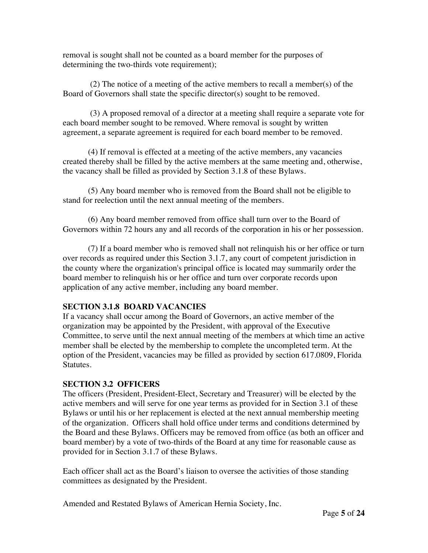removal is sought shall not be counted as a board member for the purposes of determining the two-thirds vote requirement);

 (2) The notice of a meeting of the active members to recall a member(s) of the Board of Governors shall state the specific director(s) sought to be removed.

 (3) A proposed removal of a director at a meeting shall require a separate vote for each board member sought to be removed. Where removal is sought by written agreement, a separate agreement is required for each board member to be removed.

 (4) If removal is effected at a meeting of the active members, any vacancies created thereby shall be filled by the active members at the same meeting and, otherwise, the vacancy shall be filled as provided by Section 3.1.8 of these Bylaws.

 (5) Any board member who is removed from the Board shall not be eligible to stand for reelection until the next annual meeting of the members.

 (6) Any board member removed from office shall turn over to the Board of Governors within 72 hours any and all records of the corporation in his or her possession.

 (7) If a board member who is removed shall not relinquish his or her office or turn over records as required under this Section 3.1.7, any court of competent jurisdiction in the county where the organization's principal office is located may summarily order the board member to relinquish his or her office and turn over corporate records upon application of any active member, including any board member.

#### **SECTION 3.1.8 BOARD VACANCIES**

If a vacancy shall occur among the Board of Governors, an active member of the organization may be appointed by the President, with approval of the Executive Committee, to serve until the next annual meeting of the members at which time an active member shall be elected by the membership to complete the uncompleted term. At the option of the President, vacancies may be filled as provided by section 617.0809, Florida Statutes.

#### **SECTION 3.2 OFFICERS**

The officers (President, President-Elect, Secretary and Treasurer) will be elected by the active members and will serve for one year terms as provided for in Section 3.1 of these Bylaws or until his or her replacement is elected at the next annual membership meeting of the organization. Officers shall hold office under terms and conditions determined by the Board and these Bylaws. Officers may be removed from office (as both an officer and board member) by a vote of two-thirds of the Board at any time for reasonable cause as provided for in Section 3.1.7 of these Bylaws.

Each officer shall act as the Board's liaison to oversee the activities of those standing committees as designated by the President.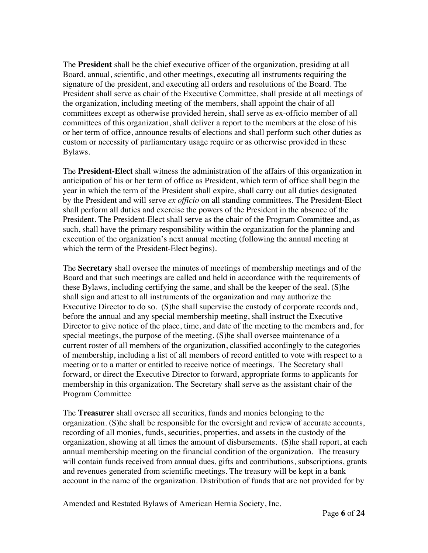The **President** shall be the chief executive officer of the organization, presiding at all Board, annual, scientific, and other meetings, executing all instruments requiring the signature of the president, and executing all orders and resolutions of the Board. The President shall serve as chair of the Executive Committee, shall preside at all meetings of the organization, including meeting of the members, shall appoint the chair of all committees except as otherwise provided herein, shall serve as ex-officio member of all committees of this organization, shall deliver a report to the members at the close of his or her term of office, announce results of elections and shall perform such other duties as custom or necessity of parliamentary usage require or as otherwise provided in these Bylaws.

The **President-Elect** shall witness the administration of the affairs of this organization in anticipation of his or her term of office as President, which term of office shall begin the year in which the term of the President shall expire, shall carry out all duties designated by the President and will serve *ex officio* on all standing committees. The President-Elect shall perform all duties and exercise the powers of the President in the absence of the President. The President-Elect shall serve as the chair of the Program Committee and, as such, shall have the primary responsibility within the organization for the planning and execution of the organization's next annual meeting (following the annual meeting at which the term of the President-Elect begins).

The **Secretary** shall oversee the minutes of meetings of membership meetings and of the Board and that such meetings are called and held in accordance with the requirements of these Bylaws, including certifying the same, and shall be the keeper of the seal. (S)he shall sign and attest to all instruments of the organization and may authorize the Executive Director to do so. (S)he shall supervise the custody of corporate records and, before the annual and any special membership meeting, shall instruct the Executive Director to give notice of the place, time, and date of the meeting to the members and, for special meetings, the purpose of the meeting. (S)he shall oversee maintenance of a current roster of all members of the organization, classified accordingly to the categories of membership, including a list of all members of record entitled to vote with respect to a meeting or to a matter or entitled to receive notice of meetings. The Secretary shall forward, or direct the Executive Director to forward, appropriate forms to applicants for membership in this organization. The Secretary shall serve as the assistant chair of the Program Committee

The **Treasurer** shall oversee all securities, funds and monies belonging to the organization. (S)he shall be responsible for the oversight and review of accurate accounts, recording of all monies, funds, securities, properties, and assets in the custody of the organization, showing at all times the amount of disbursements. (S)he shall report, at each annual membership meeting on the financial condition of the organization. The treasury will contain funds received from annual dues, gifts and contributions, subscriptions, grants and revenues generated from scientific meetings. The treasury will be kept in a bank account in the name of the organization. Distribution of funds that are not provided for by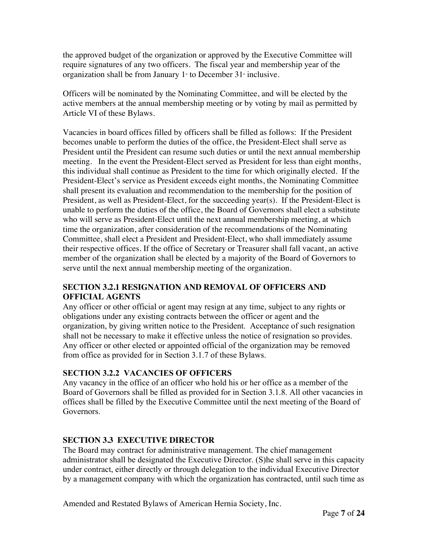the approved budget of the organization or approved by the Executive Committee will require signatures of any two officers. The fiscal year and membership year of the organization shall be from January  $1$ <sup>s</sup> to December 31<sup>s</sup> inclusive.

Officers will be nominated by the Nominating Committee, and will be elected by the active members at the annual membership meeting or by voting by mail as permitted by Article VI of these Bylaws.

Vacancies in board offices filled by officers shall be filled as follows: If the President becomes unable to perform the duties of the office, the President-Elect shall serve as President until the President can resume such duties or until the next annual membership meeting. In the event the President-Elect served as President for less than eight months, this individual shall continue as President to the time for which originally elected. If the President-Elect's service as President exceeds eight months, the Nominating Committee shall present its evaluation and recommendation to the membership for the position of President, as well as President-Elect, for the succeeding year(s). If the President-Elect is unable to perform the duties of the office, the Board of Governors shall elect a substitute who will serve as President-Elect until the next annual membership meeting, at which time the organization, after consideration of the recommendations of the Nominating Committee, shall elect a President and President-Elect, who shall immediately assume their respective offices. If the office of Secretary or Treasurer shall fall vacant, an active member of the organization shall be elected by a majority of the Board of Governors to serve until the next annual membership meeting of the organization.

### **SECTION 3.2.1 RESIGNATION AND REMOVAL OF OFFICERS AND OFFICIAL AGENTS**

Any officer or other official or agent may resign at any time, subject to any rights or obligations under any existing contracts between the officer or agent and the organization, by giving written notice to the President. Acceptance of such resignation shall not be necessary to make it effective unless the notice of resignation so provides. Any officer or other elected or appointed official of the organization may be removed from office as provided for in Section 3.1.7 of these Bylaws.

# **SECTION 3.2.2 VACANCIES OF OFFICERS**

Any vacancy in the office of an officer who hold his or her office as a member of the Board of Governors shall be filled as provided for in Section 3.1.8. All other vacancies in offices shall be filled by the Executive Committee until the next meeting of the Board of Governors.

# **SECTION 3.3 EXECUTIVE DIRECTOR**

The Board may contract for administrative management. The chief management administrator shall be designated the Executive Director. (S)he shall serve in this capacity under contract, either directly or through delegation to the individual Executive Director by a management company with which the organization has contracted, until such time as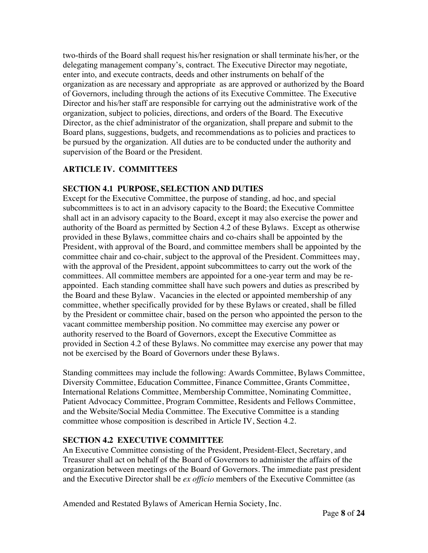two-thirds of the Board shall request his/her resignation or shall terminate his/her, or the delegating management company's, contract. The Executive Director may negotiate, enter into, and execute contracts, deeds and other instruments on behalf of the organization as are necessary and appropriate as are approved or authorized by the Board of Governors, including through the actions of its Executive Committee. The Executive Director and his/her staff are responsible for carrying out the administrative work of the organization, subject to policies, directions, and orders of the Board. The Executive Director, as the chief administrator of the organization, shall prepare and submit to the Board plans, suggestions, budgets, and recommendations as to policies and practices to be pursued by the organization. All duties are to be conducted under the authority and supervision of the Board or the President.

# **ARTICLE IV. COMMITTEES**

#### **SECTION 4.1 PURPOSE, SELECTION AND DUTIES**

Except for the Executive Committee, the purpose of standing, ad hoc, and special subcommittees is to act in an advisory capacity to the Board; the Executive Committee shall act in an advisory capacity to the Board, except it may also exercise the power and authority of the Board as permitted by Section 4.2 of these Bylaws. Except as otherwise provided in these Bylaws, committee chairs and co-chairs shall be appointed by the President, with approval of the Board, and committee members shall be appointed by the committee chair and co-chair, subject to the approval of the President. Committees may, with the approval of the President, appoint subcommittees to carry out the work of the committees. All committee members are appointed for a one-year term and may be reappointed. Each standing committee shall have such powers and duties as prescribed by the Board and these Bylaw. Vacancies in the elected or appointed membership of any committee, whether specifically provided for by these Bylaws or created, shall be filled by the President or committee chair, based on the person who appointed the person to the vacant committee membership position. No committee may exercise any power or authority reserved to the Board of Governors, except the Executive Committee as provided in Section 4.2 of these Bylaws. No committee may exercise any power that may not be exercised by the Board of Governors under these Bylaws.

Standing committees may include the following: Awards Committee, Bylaws Committee, Diversity Committee, Education Committee, Finance Committee, Grants Committee, International Relations Committee, Membership Committee, Nominating Committee, Patient Advocacy Committee, Program Committee, Residents and Fellows Committee, and the Website/Social Media Committee. The Executive Committee is a standing committee whose composition is described in Article IV, Section 4.2.

# **SECTION 4.2 EXECUTIVE COMMITTEE**

An Executive Committee consisting of the President, President-Elect, Secretary, and Treasurer shall act on behalf of the Board of Governors to administer the affairs of the organization between meetings of the Board of Governors. The immediate past president and the Executive Director shall be *ex officio* members of the Executive Committee (as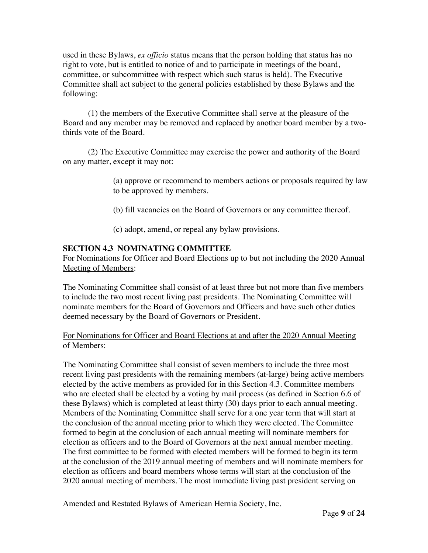used in these Bylaws, *ex officio* status means that the person holding that status has no right to vote, but is entitled to notice of and to participate in meetings of the board, committee, or subcommittee with respect which such status is held). The Executive Committee shall act subject to the general policies established by these Bylaws and the following:

(1) the members of the Executive Committee shall serve at the pleasure of the Board and any member may be removed and replaced by another board member by a twothirds vote of the Board.

(2) The Executive Committee may exercise the power and authority of the Board on any matter, except it may not:

> (a) approve or recommend to members actions or proposals required by law to be approved by members.

(b) fill vacancies on the Board of Governors or any committee thereof.

(c) adopt, amend, or repeal any bylaw provisions.

# **SECTION 4.3 NOMINATING COMMITTEE**

For Nominations for Officer and Board Elections up to but not including the 2020 Annual Meeting of Members:

The Nominating Committee shall consist of at least three but not more than five members to include the two most recent living past presidents. The Nominating Committee will nominate members for the Board of Governors and Officers and have such other duties deemed necessary by the Board of Governors or President.

#### For Nominations for Officer and Board Elections at and after the 2020 Annual Meeting of Members:

The Nominating Committee shall consist of seven members to include the three most recent living past presidents with the remaining members (at-large) being active members elected by the active members as provided for in this Section 4.3. Committee members who are elected shall be elected by a voting by mail process (as defined in Section 6.6 of these Bylaws) which is completed at least thirty (30) days prior to each annual meeting. Members of the Nominating Committee shall serve for a one year term that will start at the conclusion of the annual meeting prior to which they were elected. The Committee formed to begin at the conclusion of each annual meeting will nominate members for election as officers and to the Board of Governors at the next annual member meeting. The first committee to be formed with elected members will be formed to begin its term at the conclusion of the 2019 annual meeting of members and will nominate members for election as officers and board members whose terms will start at the conclusion of the 2020 annual meeting of members. The most immediate living past president serving on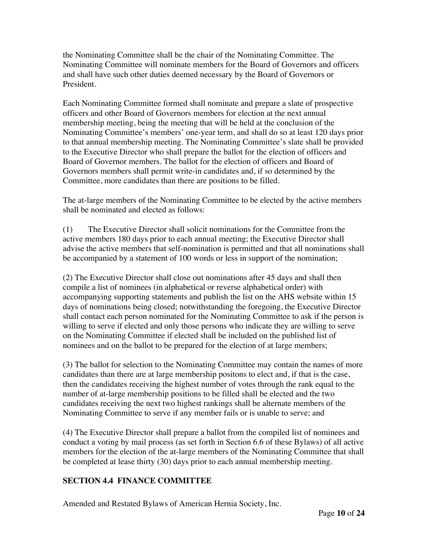the Nominating Committee shall be the chair of the Nominating Committee. The Nominating Committee will nominate members for the Board of Governors and officers and shall have such other duties deemed necessary by the Board of Governors or President.

Each Nominating Committee formed shall nominate and prepare a slate of prospective officers and other Board of Governors members for election at the next annual membership meeting, being the meeting that will be held at the conclusion of the Nominating Committee's members' one-year term, and shall do so at least 120 days prior to that annual membership meeting. The Nominating Committee's slate shall be provided to the Executive Director who shall prepare the ballot for the election of officers and Board of Governor members. The ballot for the election of officers and Board of Governors members shall permit write-in candidates and, if so determined by the Committee, more candidates than there are positions to be filled.

The at-large members of the Nominating Committee to be elected by the active members shall be nominated and elected as follows:

(1) The Executive Director shall solicit nominations for the Committee from the active members 180 days prior to each annual meeting; the Executive Director shall advise the active members that self-nomination is permitted and that all nominations shall be accompanied by a statement of 100 words or less in support of the nomination;

(2) The Executive Director shall close out nominations after 45 days and shall then compile a list of nominees (in alphabetical or reverse alphabetical order) with accompanying supporting statements and publish the list on the AHS website within 15 days of nominations being closed; notwithstanding the foregoing, the Executive Director shall contact each person nominated for the Nominating Committee to ask if the person is willing to serve if elected and only those persons who indicate they are willing to serve on the Nominating Committee if elected shall be included on the published list of nominees and on the ballot to be prepared for the election of at large members;

(3) The ballot for selection to the Nominating Committee may contain the names of more candidates than there are at large membership positons to elect and, if that is the case, then the candidates receiving the highest number of votes through the rank equal to the number of at-large membership positions to be filled shall be elected and the two candidates receiving the next two highest rankings shall be alternate members of the Nominating Committee to serve if any member fails or is unable to serve; and

(4) The Executive Director shall prepare a ballot from the compiled list of nominees and conduct a voting by mail process (as set forth in Section 6.6 of these Bylaws) of all active members for the election of the at-large members of the Nominating Committee that shall be completed at lease thirty (30) days prior to each annual membership meeting.

# **SECTION 4.4 FINANCE COMMITTEE**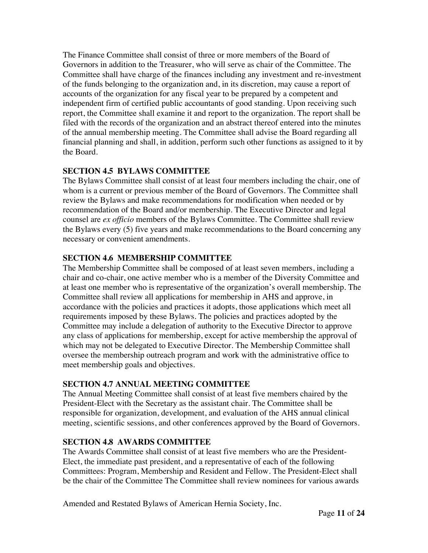The Finance Committee shall consist of three or more members of the Board of Governors in addition to the Treasurer, who will serve as chair of the Committee. The Committee shall have charge of the finances including any investment and re-investment of the funds belonging to the organization and, in its discretion, may cause a report of accounts of the organization for any fiscal year to be prepared by a competent and independent firm of certified public accountants of good standing. Upon receiving such report, the Committee shall examine it and report to the organization. The report shall be filed with the records of the organization and an abstract thereof entered into the minutes of the annual membership meeting. The Committee shall advise the Board regarding all financial planning and shall, in addition, perform such other functions as assigned to it by the Board.

# **SECTION 4.5 BYLAWS COMMITTEE**

The Bylaws Committee shall consist of at least four members including the chair, one of whom is a current or previous member of the Board of Governors. The Committee shall review the Bylaws and make recommendations for modification when needed or by recommendation of the Board and/or membership. The Executive Director and legal counsel are *ex officio* members of the Bylaws Committee. The Committee shall review the Bylaws every (5) five years and make recommendations to the Board concerning any necessary or convenient amendments.

# **SECTION 4.6 MEMBERSHIP COMMITTEE**

The Membership Committee shall be composed of at least seven members, including a chair and co-chair, one active member who is a member of the Diversity Committee and at least one member who is representative of the organization's overall membership. The Committee shall review all applications for membership in AHS and approve, in accordance with the policies and practices it adopts, those applications which meet all requirements imposed by these Bylaws. The policies and practices adopted by the Committee may include a delegation of authority to the Executive Director to approve any class of applications for membership, except for active membership the approval of which may not be delegated to Executive Director. The Membership Committee shall oversee the membership outreach program and work with the administrative office to meet membership goals and objectives.

# **SECTION 4.7 ANNUAL MEETING COMMITTEE**

The Annual Meeting Committee shall consist of at least five members chaired by the President-Elect with the Secretary as the assistant chair. The Committee shall be responsible for organization, development, and evaluation of the AHS annual clinical meeting, scientific sessions, and other conferences approved by the Board of Governors.

# **SECTION 4.8 AWARDS COMMITTEE**

The Awards Committee shall consist of at least five members who are the President-Elect, the immediate past president, and a representative of each of the following Committees: Program, Membership and Resident and Fellow. The President-Elect shall be the chair of the Committee The Committee shall review nominees for various awards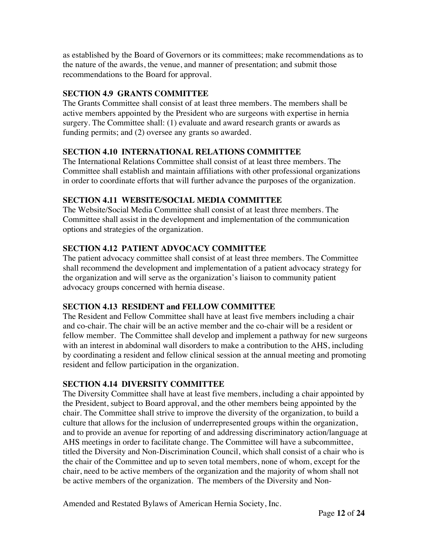as established by the Board of Governors or its committees; make recommendations as to the nature of the awards, the venue, and manner of presentation; and submit those recommendations to the Board for approval.

# **SECTION 4.9 GRANTS COMMITTEE**

The Grants Committee shall consist of at least three members. The members shall be active members appointed by the President who are surgeons with expertise in hernia surgery. The Committee shall: (1) evaluate and award research grants or awards as funding permits; and (2) oversee any grants so awarded.

# **SECTION 4.10 INTERNATIONAL RELATIONS COMMITTEE**

The International Relations Committee shall consist of at least three members. The Committee shall establish and maintain affiliations with other professional organizations in order to coordinate efforts that will further advance the purposes of the organization.

# **SECTION 4.11 WEBSITE/SOCIAL MEDIA COMMITTEE**

The Website/Social Media Committee shall consist of at least three members. The Committee shall assist in the development and implementation of the communication options and strategies of the organization.

# **SECTION 4.12 PATIENT ADVOCACY COMMITTEE**

The patient advocacy committee shall consist of at least three members. The Committee shall recommend the development and implementation of a patient advocacy strategy for the organization and will serve as the organization's liaison to community patient advocacy groups concerned with hernia disease.

# **SECTION 4.13 RESIDENT and FELLOW COMMITTEE**

The Resident and Fellow Committee shall have at least five members including a chair and co-chair. The chair will be an active member and the co-chair will be a resident or fellow member. The Committee shall develop and implement a pathway for new surgeons with an interest in abdominal wall disorders to make a contribution to the AHS, including by coordinating a resident and fellow clinical session at the annual meeting and promoting resident and fellow participation in the organization.

# **SECTION 4.14 DIVERSITY COMMITTEE**

The Diversity Committee shall have at least five members, including a chair appointed by the President, subject to Board approval, and the other members being appointed by the chair. The Committee shall strive to improve the diversity of the organization, to build a culture that allows for the inclusion of underrepresented groups within the organization, and to provide an avenue for reporting of and addressing discriminatory action/language at AHS meetings in order to facilitate change. The Committee will have a subcommittee, titled the Diversity and Non-Discrimination Council, which shall consist of a chair who is the chair of the Committee and up to seven total members, none of whom, except for the chair, need to be active members of the organization and the majority of whom shall not be active members of the organization. The members of the Diversity and Non-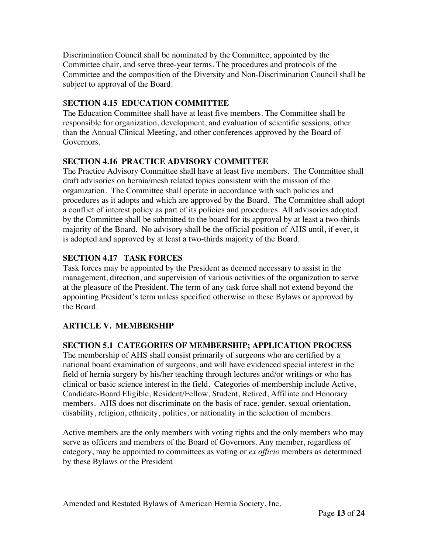Discrimination Council shall be nominated by the Committee, appointed by the Committee chair, and serve three-year terms. The procedures and protocols of the Committee and the composition of the Diversity and Non-Discrimination Council shall be subject to approval of the Board.

# S**ECTION 4.15 EDUCATION COMMITTEE**

The Education Committee shall have at least five members. The Committee shall be responsible for organization, development, and evaluation of scientific sessions, other than the Annual Clinical Meeting, and other conferences approved by the Board of Governors.

# **SECTION 4.16 PRACTICE ADVISORY COMMITTEE**

The Practice Advisory Committee shall have at least five members. The Committee shall draft advisories on hernia/mesh related topics consistent with the mission of the organization. The Committee shall operate in accordance with such policies and procedures as it adopts and which are approved by the Board. The Committee shall adopt a conflict of interest policy as part of its policies and procedures. All advisories adopted by the Committee shall be submitted to the board for its approval by at least a two-thirds majority of the Board. No advisory shall be the official position of AHS until, if ever, it is adopted and approved by at least a two-thirds majority of the Board.

# **SECTION 4.17 TASK FORCES**

Task forces may be appointed by the President as deemed necessary to assist in the management, direction, and supervision of various activities of the organization to serve at the pleasure of the President. The term of any task force shall not extend beyond the appointing President's term unless specified otherwise in these Bylaws or approved by the Board.

# **ARTICLE V. MEMBERSHIP**

# **SECTION 5.1 CATEGORIES OF MEMBERSHIP; APPLICATION PROCESS**

The membership of AHS shall consist primarily of surgeons who are certified by a national board examination of surgeons, and will have evidenced special interest in the field of hernia surgery by his/her teaching through lectures and/or writings or who has clinical or basic science interest in the field. Categories of membership include Active, Candidate-Board Eligible, Resident/Fellow, Student, Retired, Affiliate and Honorary members. AHS does not discriminate on the basis of race, gender, sexual orientation, disability, religion, ethnicity, politics, or nationality in the selection of members.

Active members are the only members with voting rights and the only members who may serve as officers and members of the Board of Governors. Any member, regardless of category, may be appointed to committees as voting or *ex officio* members as determined by these Bylaws or the President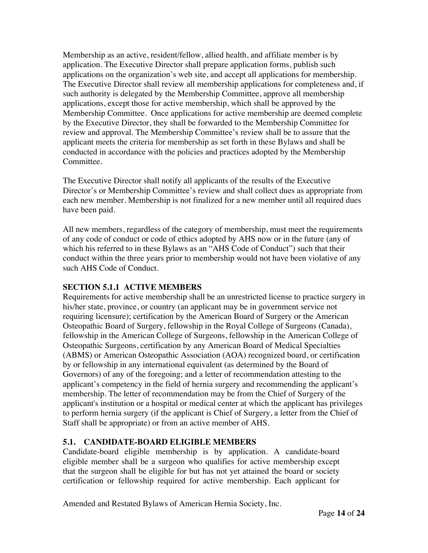Membership as an active, resident/fellow, allied health, and affiliate member is by application. The Executive Director shall prepare application forms, publish such applications on the organization's web site, and accept all applications for membership. The Executive Director shall review all membership applications for completeness and, if such authority is delegated by the Membership Committee, approve all membership applications, except those for active membership, which shall be approved by the Membership Committee. Once applications for active membership are deemed complete by the Executive Director, they shall be forwarded to the Membership Committee for review and approval. The Membership Committee's review shall be to assure that the applicant meets the criteria for membership as set forth in these Bylaws and shall be conducted in accordance with the policies and practices adopted by the Membership Committee.

The Executive Director shall notify all applicants of the results of the Executive Director's or Membership Committee's review and shall collect dues as appropriate from each new member. Membership is not finalized for a new member until all required dues have been paid.

All new members, regardless of the category of membership, must meet the requirements of any code of conduct or code of ethics adopted by AHS now or in the future (any of which his referred to in these Bylaws as an "AHS Code of Conduct") such that their conduct within the three years prior to membership would not have been violative of any such AHS Code of Conduct.

#### **SECTION 5.1.1 ACTIVE MEMBERS**

Requirements for active membership shall be an unrestricted license to practice surgery in his/her state, province, or country (an applicant may be in government service not requiring licensure); certification by the American Board of Surgery or the American Osteopathic Board of Surgery, fellowship in the Royal College of Surgeons (Canada), fellowship in the American College of Surgeons, fellowship in the American College of Osteopathic Surgeons, certification by any American Board of Medical Specialties (ABMS) or American Osteopathic Association (AOA) recognized board, or certification by or fellowship in any international equivalent (as determined by the Board of Governors) of any of the foregoing; and a letter of recommendation attesting to the applicant's competency in the field of hernia surgery and recommending the applicant's membership. The letter of recommendation may be from the Chief of Surgery of the applicant's institution or a hospital or medical center at which the applicant has privileges to perform hernia surgery (if the applicant is Chief of Surgery, a letter from the Chief of Staff shall be appropriate) or from an active member of AHS.

# **5.1. CANDIDATE-BOARD ELIGIBLE MEMBERS**

Candidate-board eligible membership is by application. A candidate-board eligible member shall be a surgeon who qualifies for active membership except that the surgeon shall be eligible for but has not yet attained the board or society certification or fellowship required for active membership. Each applicant for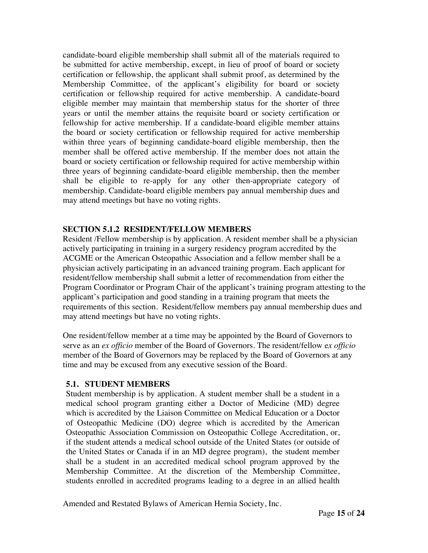candidate-board eligible membership shall submit all of the materials required to be submitted for active membership, except, in lieu of proof of board or society certification or fellowship, the applicant shall submit proof, as determined by the Membership Committee, of the applicant's eligibility for board or society certification or fellowship required for active membership. A candidate-board eligible member may maintain that membership status for the shorter of three years or until the member attains the requisite board or society certification or fellowship for active membership. If a candidate-board eligible member attains the board or society certification or fellowship required for active membership within three years of beginning candidate-board eligible membership, then the member shall be offered active membership. If the member does not attain the board or society certification or fellowship required for active membership within three years of beginning candidate-board eligible membership, then the member shall be eligible to re-apply for any other then-appropriate category of membership. Candidate-board eligible members pay annual membership dues and may attend meetings but have no voting rights.

#### **SECTION 5.1.2 RESIDENT/FELLOW MEMBERS**

Resident /Fellow membership is by application. A resident member shall be a physician actively participating in training in a surgery residency program accredited by the ACGME or the American Osteopathic Association and a fellow member shall be a physician actively participating in an advanced training program. Each applicant for resident/fellow membership shall submit a letter of recommendation from either the Program Coordinator or Program Chair of the applicant's training program attesting to the applicant's participation and good standing in a training program that meets the requirements of this section. Resident/fellow members pay annual membership dues and may attend meetings but have no voting rights.

One resident/fellow member at a time may be appointed by the Board of Governors to serve as an *ex officio* member of the Board of Governors. The resident/fellow e*x officio* member of the Board of Governors may be replaced by the Board of Governors at any time and may be excused from any executive session of the Board.

#### **5.1. STUDENT MEMBERS**

Student membership is by application. A student member shall be a student in a medical school program granting either a Doctor of Medicine (MD) degree which is accredited by the Liaison Committee on Medical Education or a Doctor of Osteopathic Medicine (DO) degree which is accredited by the American Osteopathic Association Commission on Osteopathic College Accreditation, or, if the student attends a medical school outside of the United States (or outside of the United States or Canada if in an MD degree program), the student member shall be a student in an accredited medical school program approved by the Membership Committee. At the discretion of the Membership Committee, students enrolled in accredited programs leading to a degree in an allied health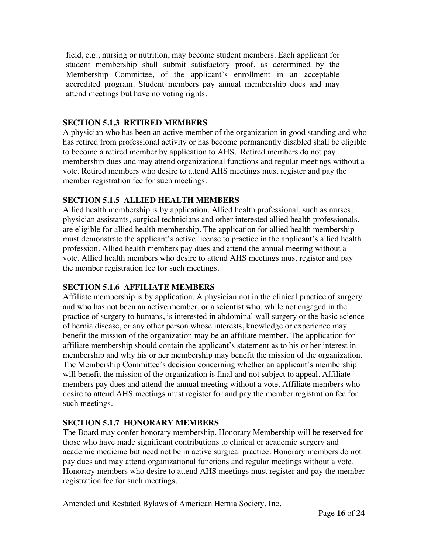field, e.g., nursing or nutrition, may become student members. Each applicant for student membership shall submit satisfactory proof, as determined by the Membership Committee, of the applicant's enrollment in an acceptable accredited program. Student members pay annual membership dues and may attend meetings but have no voting rights.

#### **SECTION 5.1.3 RETIRED MEMBERS**

A physician who has been an active member of the organization in good standing and who has retired from professional activity or has become permanently disabled shall be eligible to become a retired member by application to AHS. Retired members do not pay membership dues and may attend organizational functions and regular meetings without a vote. Retired members who desire to attend AHS meetings must register and pay the member registration fee for such meetings.

### **SECTION 5.1.5 ALLIED HEALTH MEMBERS**

Allied health membership is by application. Allied health professional, such as nurses, physician assistants, surgical technicians and other interested allied health professionals, are eligible for allied health membership. The application for allied health membership must demonstrate the applicant's active license to practice in the applicant's allied health profession. Allied health members pay dues and attend the annual meeting without a vote. Allied health members who desire to attend AHS meetings must register and pay the member registration fee for such meetings.

#### **SECTION 5.1.6 AFFILIATE MEMBERS**

Affiliate membership is by application. A physician not in the clinical practice of surgery and who has not been an active member, or a scientist who, while not engaged in the practice of surgery to humans, is interested in abdominal wall surgery or the basic science of hernia disease, or any other person whose interests, knowledge or experience may benefit the mission of the organization may be an affiliate member. The application for affiliate membership should contain the applicant's statement as to his or her interest in membership and why his or her membership may benefit the mission of the organization. The Membership Committee's decision concerning whether an applicant's membership will benefit the mission of the organization is final and not subject to appeal. Affiliate members pay dues and attend the annual meeting without a vote. Affiliate members who desire to attend AHS meetings must register for and pay the member registration fee for such meetings.

# **SECTION 5.1.7 HONORARY MEMBERS**

The Board may confer honorary membership. Honorary Membership will be reserved for those who have made significant contributions to clinical or academic surgery and academic medicine but need not be in active surgical practice. Honorary members do not pay dues and may attend organizational functions and regular meetings without a vote. Honorary members who desire to attend AHS meetings must register and pay the member registration fee for such meetings.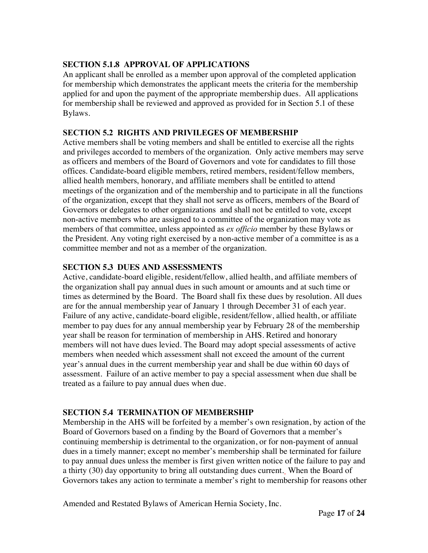#### **SECTION 5.1.8 APPROVAL OF APPLICATIONS**

An applicant shall be enrolled as a member upon approval of the completed application for membership which demonstrates the applicant meets the criteria for the membership applied for and upon the payment of the appropriate membership dues. All applications for membership shall be reviewed and approved as provided for in Section 5.1 of these Bylaws.

#### **SECTION 5.2 RIGHTS AND PRIVILEGES OF MEMBERSHIP**

Active members shall be voting members and shall be entitled to exercise all the rights and privileges accorded to members of the organization. Only active members may serve as officers and members of the Board of Governors and vote for candidates to fill those offices. Candidate-board eligible members, retired members, resident/fellow members, allied health members, honorary, and affiliate members shall be entitled to attend meetings of the organization and of the membership and to participate in all the functions of the organization, except that they shall not serve as officers, members of the Board of Governors or delegates to other organizations and shall not be entitled to vote, except non-active members who are assigned to a committee of the organization may vote as members of that committee, unless appointed as *ex officio* member by these Bylaws or the President. Any voting right exercised by a non-active member of a committee is as a committee member and not as a member of the organization.

#### **SECTION 5.3 DUES AND ASSESSMENTS**

Active, candidate-board eligible, resident/fellow, allied health, and affiliate members of the organization shall pay annual dues in such amount or amounts and at such time or times as determined by the Board. The Board shall fix these dues by resolution. All dues are for the annual membership year of January 1 through December 31 of each year. Failure of any active, candidate-board eligible, resident/fellow, allied health, or affiliate member to pay dues for any annual membership year by February 28 of the membership year shall be reason for termination of membership in AHS. Retired and honorary members will not have dues levied. The Board may adopt special assessments of active members when needed which assessment shall not exceed the amount of the current year's annual dues in the current membership year and shall be due within 60 days of assessment. Failure of an active member to pay a special assessment when due shall be treated as a failure to pay annual dues when due.

#### **SECTION 5.4 TERMINATION OF MEMBERSHIP**

Membership in the AHS will be forfeited by a member's own resignation, by action of the Board of Governors based on a finding by the Board of Governors that a member's continuing membership is detrimental to the organization, or for non-payment of annual dues in a timely manner; except no member's membership shall be terminated for failure to pay annual dues unless the member is first given written notice of the failure to pay and a thirty (30) day opportunity to bring all outstanding dues current. When the Board of Governors takes any action to terminate a member's right to membership for reasons other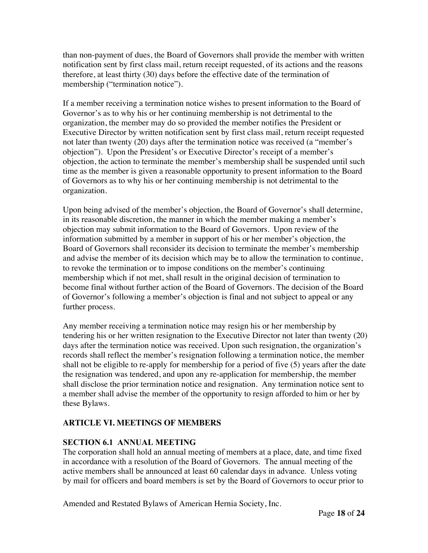than non-payment of dues, the Board of Governors shall provide the member with written notification sent by first class mail, return receipt requested, of its actions and the reasons therefore, at least thirty (30) days before the effective date of the termination of membership ("termination notice").

If a member receiving a termination notice wishes to present information to the Board of Governor's as to why his or her continuing membership is not detrimental to the organization, the member may do so provided the member notifies the President or Executive Director by written notification sent by first class mail, return receipt requested not later than twenty (20) days after the termination notice was received (a "member's objection"). Upon the President's or Executive Director's receipt of a member's objection, the action to terminate the member's membership shall be suspended until such time as the member is given a reasonable opportunity to present information to the Board of Governors as to why his or her continuing membership is not detrimental to the organization.

Upon being advised of the member's objection, the Board of Governor's shall determine, in its reasonable discretion, the manner in which the member making a member's objection may submit information to the Board of Governors. Upon review of the information submitted by a member in support of his or her member's objection, the Board of Governors shall reconsider its decision to terminate the member's membership and advise the member of its decision which may be to allow the termination to continue, to revoke the termination or to impose conditions on the member's continuing membership which if not met, shall result in the original decision of termination to become final without further action of the Board of Governors. The decision of the Board of Governor's following a member's objection is final and not subject to appeal or any further process.

Any member receiving a termination notice may resign his or her membership by tendering his or her written resignation to the Executive Director not later than twenty (20) days after the termination notice was received. Upon such resignation, the organization's records shall reflect the member's resignation following a termination notice, the member shall not be eligible to re-apply for membership for a period of five (5) years after the date the resignation was tendered, and upon any re-application for membership, the member shall disclose the prior termination notice and resignation. Any termination notice sent to a member shall advise the member of the opportunity to resign afforded to him or her by these Bylaws.

# **ARTICLE VI. MEETINGS OF MEMBERS**

# **SECTION 6.1 ANNUAL MEETING**

The corporation shall hold an annual meeting of members at a place, date, and time fixed in accordance with a resolution of the Board of Governors. The annual meeting of the active members shall be announced at least 60 calendar days in advance. Unless voting by mail for officers and board members is set by the Board of Governors to occur prior to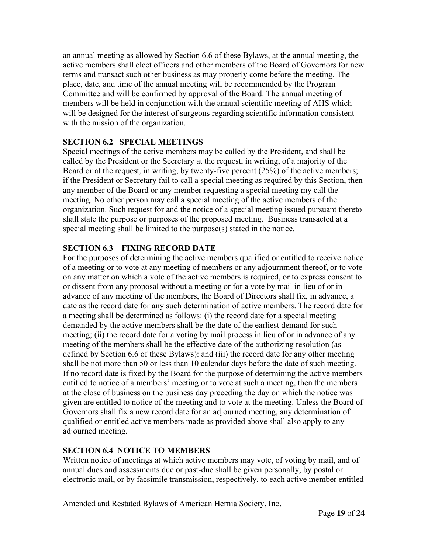an annual meeting as allowed by Section 6.6 of these Bylaws, at the annual meeting, the active members shall elect officers and other members of the Board of Governors for new terms and transact such other business as may properly come before the meeting. The place, date, and time of the annual meeting will be recommended by the Program Committee and will be confirmed by approval of the Board. The annual meeting of members will be held in conjunction with the annual scientific meeting of AHS which will be designed for the interest of surgeons regarding scientific information consistent with the mission of the organization.

#### **SECTION 6.2 SPECIAL MEETINGS**

Special meetings of the active members may be called by the President, and shall be called by the President or the Secretary at the request, in writing, of a majority of the Board or at the request, in writing, by twenty-five percent (25%) of the active members; if the President or Secretary fail to call a special meeting as required by this Section, then any member of the Board or any member requesting a special meeting my call the meeting. No other person may call a special meeting of the active members of the organization. Such request for and the notice of a special meeting issued pursuant thereto shall state the purpose or purposes of the proposed meeting. Business transacted at a special meeting shall be limited to the purpose(s) stated in the notice.

# **SECTION 6.3 FIXING RECORD DATE**

For the purposes of determining the active members qualified or entitled to receive notice of a meeting or to vote at any meeting of members or any adjournment thereof, or to vote on any matter on which a vote of the active members is required, or to express consent to or dissent from any proposal without a meeting or for a vote by mail in lieu of or in advance of any meeting of the members, the Board of Directors shall fix, in advance, a date as the record date for any such determination of active members. The record date for a meeting shall be determined as follows: (i) the record date for a special meeting demanded by the active members shall be the date of the earliest demand for such meeting; (ii) the record date for a voting by mail process in lieu of or in advance of any meeting of the members shall be the effective date of the authorizing resolution (as defined by Section 6.6 of these Bylaws): and (iii) the record date for any other meeting shall be not more than 50 or less than 10 calendar days before the date of such meeting. If no record date is fixed by the Board for the purpose of determining the active members entitled to notice of a members' meeting or to vote at such a meeting, then the members at the close of business on the business day preceding the day on which the notice was given are entitled to notice of the meeting and to vote at the meeting. Unless the Board of Governors shall fix a new record date for an adjourned meeting, any determination of qualified or entitled active members made as provided above shall also apply to any adjourned meeting.

#### **SECTION 6.4 NOTICE TO MEMBERS**

Written notice of meetings at which active members may vote, of voting by mail, and of annual dues and assessments due or past-due shall be given personally, by postal or electronic mail, or by facsimile transmission, respectively, to each active member entitled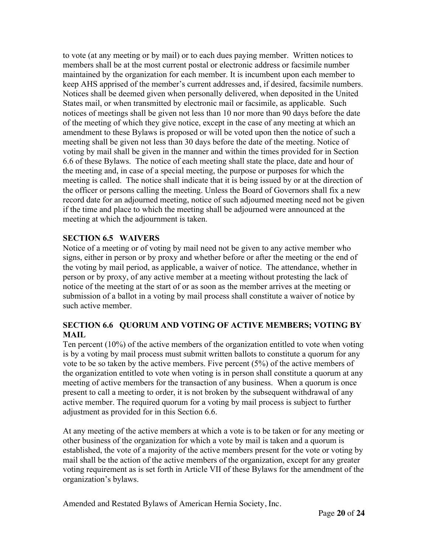to vote (at any meeting or by mail) or to each dues paying member. Written notices to members shall be at the most current postal or electronic address or facsimile number maintained by the organization for each member. It is incumbent upon each member to keep AHS apprised of the member's current addresses and, if desired, facsimile numbers. Notices shall be deemed given when personally delivered, when deposited in the United States mail, or when transmitted by electronic mail or facsimile, as applicable. Such notices of meetings shall be given not less than 10 nor more than 90 days before the date of the meeting of which they give notice, except in the case of any meeting at which an amendment to these Bylaws is proposed or will be voted upon then the notice of such a meeting shall be given not less than 30 days before the date of the meeting. Notice of voting by mail shall be given in the manner and within the times provided for in Section 6.6 of these Bylaws. The notice of each meeting shall state the place, date and hour of the meeting and, in case of a special meeting, the purpose or purposes for which the meeting is called. The notice shall indicate that it is being issued by or at the direction of the officer or persons calling the meeting. Unless the Board of Governors shall fix a new record date for an adjourned meeting, notice of such adjourned meeting need not be given if the time and place to which the meeting shall be adjourned were announced at the meeting at which the adjournment is taken.

# **SECTION 6.5 WAIVERS**

Notice of a meeting or of voting by mail need not be given to any active member who signs, either in person or by proxy and whether before or after the meeting or the end of the voting by mail period, as applicable, a waiver of notice. The attendance, whether in person or by proxy, of any active member at a meeting without protesting the lack of notice of the meeting at the start of or as soon as the member arrives at the meeting or submission of a ballot in a voting by mail process shall constitute a waiver of notice by such active member.

### **SECTION 6.6 QUORUM AND VOTING OF ACTIVE MEMBERS; VOTING BY MAIL**

Ten percent (10%) of the active members of the organization entitled to vote when voting is by a voting by mail process must submit written ballots to constitute a quorum for any vote to be so taken by the active members. Five percent (5%) of the active members of the organization entitled to vote when voting is in person shall constitute a quorum at any meeting of active members for the transaction of any business. When a quorum is once present to call a meeting to order, it is not broken by the subsequent withdrawal of any active member. The required quorum for a voting by mail process is subject to further adjustment as provided for in this Section 6.6.

At any meeting of the active members at which a vote is to be taken or for any meeting or other business of the organization for which a vote by mail is taken and a quorum is established, the vote of a majority of the active members present for the vote or voting by mail shall be the action of the active members of the organization, except for any greater voting requirement as is set forth in Article VII of these Bylaws for the amendment of the organization's bylaws.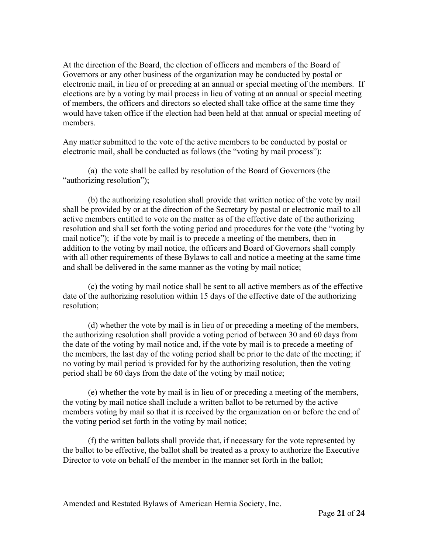At the direction of the Board, the election of officers and members of the Board of Governors or any other business of the organization may be conducted by postal or electronic mail, in lieu of or preceding at an annual or special meeting of the members. If elections are by a voting by mail process in lieu of voting at an annual or special meeting of members, the officers and directors so elected shall take office at the same time they would have taken office if the election had been held at that annual or special meeting of members.

Any matter submitted to the vote of the active members to be conducted by postal or electronic mail, shall be conducted as follows (the "voting by mail process"):

(a) the vote shall be called by resolution of the Board of Governors (the "authorizing resolution");

(b) the authorizing resolution shall provide that written notice of the vote by mail shall be provided by or at the direction of the Secretary by postal or electronic mail to all active members entitled to vote on the matter as of the effective date of the authorizing resolution and shall set forth the voting period and procedures for the vote (the "voting by mail notice"); if the vote by mail is to precede a meeting of the members, then in addition to the voting by mail notice, the officers and Board of Governors shall comply with all other requirements of these Bylaws to call and notice a meeting at the same time and shall be delivered in the same manner as the voting by mail notice;

(c) the voting by mail notice shall be sent to all active members as of the effective date of the authorizing resolution within 15 days of the effective date of the authorizing resolution;

(d) whether the vote by mail is in lieu of or preceding a meeting of the members, the authorizing resolution shall provide a voting period of between 30 and 60 days from the date of the voting by mail notice and, if the vote by mail is to precede a meeting of the members, the last day of the voting period shall be prior to the date of the meeting; if no voting by mail period is provided for by the authorizing resolution, then the voting period shall be 60 days from the date of the voting by mail notice;

(e) whether the vote by mail is in lieu of or preceding a meeting of the members, the voting by mail notice shall include a written ballot to be returned by the active members voting by mail so that it is received by the organization on or before the end of the voting period set forth in the voting by mail notice;

(f) the written ballots shall provide that, if necessary for the vote represented by the ballot to be effective, the ballot shall be treated as a proxy to authorize the Executive Director to vote on behalf of the member in the manner set forth in the ballot;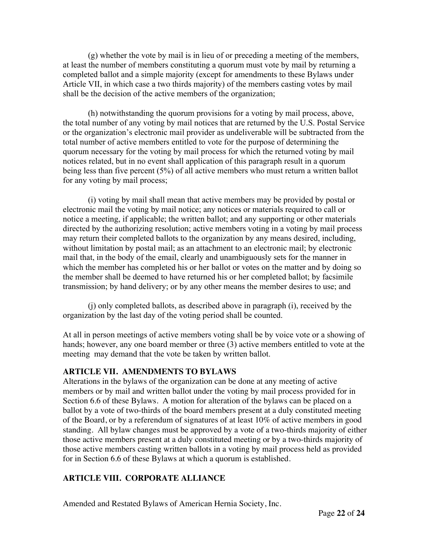(g) whether the vote by mail is in lieu of or preceding a meeting of the members, at least the number of members constituting a quorum must vote by mail by returning a completed ballot and a simple majority (except for amendments to these Bylaws under Article VII, in which case a two thirds majority) of the members casting votes by mail shall be the decision of the active members of the organization;

(h) notwithstanding the quorum provisions for a voting by mail process, above, the total number of any voting by mail notices that are returned by the U.S. Postal Service or the organization's electronic mail provider as undeliverable will be subtracted from the total number of active members entitled to vote for the purpose of determining the quorum necessary for the voting by mail process for which the returned voting by mail notices related, but in no event shall application of this paragraph result in a quorum being less than five percent (5%) of all active members who must return a written ballot for any voting by mail process;

(i) voting by mail shall mean that active members may be provided by postal or electronic mail the voting by mail notice; any notices or materials required to call or notice a meeting, if applicable; the written ballot; and any supporting or other materials directed by the authorizing resolution; active members voting in a voting by mail process may return their completed ballots to the organization by any means desired, including, without limitation by postal mail; as an attachment to an electronic mail; by electronic mail that, in the body of the email, clearly and unambiguously sets for the manner in which the member has completed his or her ballot or votes on the matter and by doing so the member shall be deemed to have returned his or her completed ballot; by facsimile transmission; by hand delivery; or by any other means the member desires to use; and

(j) only completed ballots, as described above in paragraph (i), received by the organization by the last day of the voting period shall be counted.

At all in person meetings of active members voting shall be by voice vote or a showing of hands; however, any one board member or three (3) active members entitled to vote at the meeting may demand that the vote be taken by written ballot.

#### **ARTICLE VII. AMENDMENTS TO BYLAWS**

Alterations in the bylaws of the organization can be done at any meeting of active members or by mail and written ballot under the voting by mail process provided for in Section 6.6 of these Bylaws. A motion for alteration of the bylaws can be placed on a ballot by a vote of two-thirds of the board members present at a duly constituted meeting of the Board, or by a referendum of signatures of at least 10% of active members in good standing. All bylaw changes must be approved by a vote of a two-thirds majority of either those active members present at a duly constituted meeting or by a two-thirds majority of those active members casting written ballots in a voting by mail process held as provided for in Section 6.6 of these Bylaws at which a quorum is established.

# **ARTICLE VIII. CORPORATE ALLIANCE**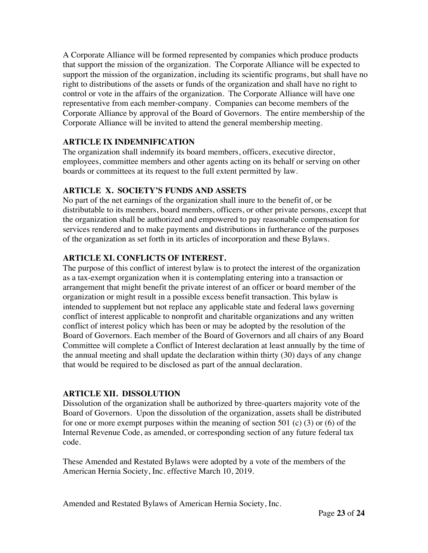A Corporate Alliance will be formed represented by companies which produce products that support the mission of the organization. The Corporate Alliance will be expected to support the mission of the organization, including its scientific programs, but shall have no right to distributions of the assets or funds of the organization and shall have no right to control or vote in the affairs of the organization. The Corporate Alliance will have one representative from each member-company. Companies can become members of the Corporate Alliance by approval of the Board of Governors. The entire membership of the Corporate Alliance will be invited to attend the general membership meeting.

# **ARTICLE IX INDEMNIFICATION**

The organization shall indemnify its board members, officers, executive director, employees, committee members and other agents acting on its behalf or serving on other boards or committees at its request to the full extent permitted by law.

# **ARTICLE X. SOCIETY'S FUNDS AND ASSETS**

No part of the net earnings of the organization shall inure to the benefit of, or be distributable to its members, board members, officers, or other private persons, except that the organization shall be authorized and empowered to pay reasonable compensation for services rendered and to make payments and distributions in furtherance of the purposes of the organization as set forth in its articles of incorporation and these Bylaws.

# **ARTICLE XI. CONFLICTS OF INTEREST.**

The purpose of this conflict of interest bylaw is to protect the interest of the organization as a tax-exempt organization when it is contemplating entering into a transaction or arrangement that might benefit the private interest of an officer or board member of the organization or might result in a possible excess benefit transaction. This bylaw is intended to supplement but not replace any applicable state and federal laws governing conflict of interest applicable to nonprofit and charitable organizations and any written conflict of interest policy which has been or may be adopted by the resolution of the Board of Governors. Each member of the Board of Governors and all chairs of any Board Committee will complete a Conflict of Interest declaration at least annually by the time of the annual meeting and shall update the declaration within thirty (30) days of any change that would be required to be disclosed as part of the annual declaration.

# **ARTICLE XII. DISSOLUTION**

Dissolution of the organization shall be authorized by three-quarters majority vote of the Board of Governors. Upon the dissolution of the organization, assets shall be distributed for one or more exempt purposes within the meaning of section 501 (c) (3) or (6) of the Internal Revenue Code, as amended, or corresponding section of any future federal tax code.

These Amended and Restated Bylaws were adopted by a vote of the members of the American Hernia Society, Inc. effective March 10, 2019.